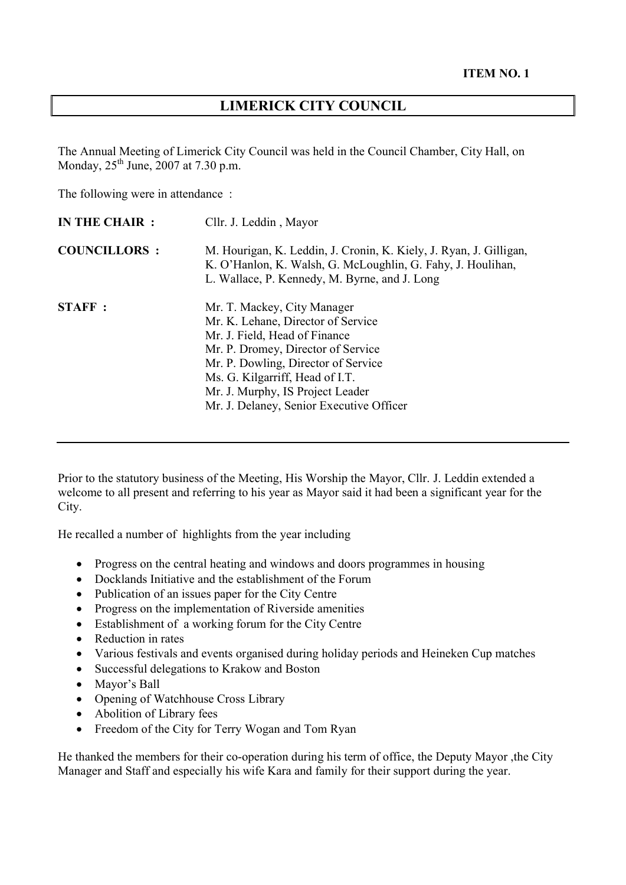## **LIMERICK CITY COUNCIL**

The Annual Meeting of Limerick City Council was held in the Council Chamber, City Hall, on Monday,  $25^{th}$  June,  $2007$  at  $7.30$  p.m.

The following were in attendance :

| <b>IN THE CHAIR:</b> | Cllr. J. Leddin, Mayor                                                                                                                                                                                                                                                                             |
|----------------------|----------------------------------------------------------------------------------------------------------------------------------------------------------------------------------------------------------------------------------------------------------------------------------------------------|
| <b>COUNCILLORS:</b>  | M. Hourigan, K. Leddin, J. Cronin, K. Kiely, J. Ryan, J. Gilligan,<br>K. O'Hanlon, K. Walsh, G. McLoughlin, G. Fahy, J. Houlihan,<br>L. Wallace, P. Kennedy, M. Byrne, and J. Long                                                                                                                 |
| <b>STAFF</b> :       | Mr. T. Mackey, City Manager<br>Mr. K. Lehane, Director of Service<br>Mr. J. Field, Head of Finance<br>Mr. P. Dromey, Director of Service<br>Mr. P. Dowling, Director of Service<br>Ms. G. Kilgarriff, Head of I.T.<br>Mr. J. Murphy, IS Project Leader<br>Mr. J. Delaney, Senior Executive Officer |

Prior to the statutory business of the Meeting, His Worship the Mayor, Cllr. J. Leddin extended a welcome to all present and referring to his year as Mayor said it had been a significant year for the City.

He recalled a number of highlights from the year including

- Progress on the central heating and windows and doors programmes in housing
- Docklands Initiative and the establishment of the Forum
- Publication of an issues paper for the City Centre
- Progress on the implementation of Riverside amenities
- Establishment of a working forum for the City Centre
- Reduction in rates
- Various festivals and events organised during holiday periods and Heineken Cup matches
- Successful delegations to Krakow and Boston
- Mayor's Ball
- Opening of Watchhouse Cross Library
- Abolition of Library fees
- Freedom of the City for Terry Wogan and Tom Ryan

He thanked the members for their co-operation during his term of office, the Deputy Mayor ,the City Manager and Staff and especially his wife Kara and family for their support during the year.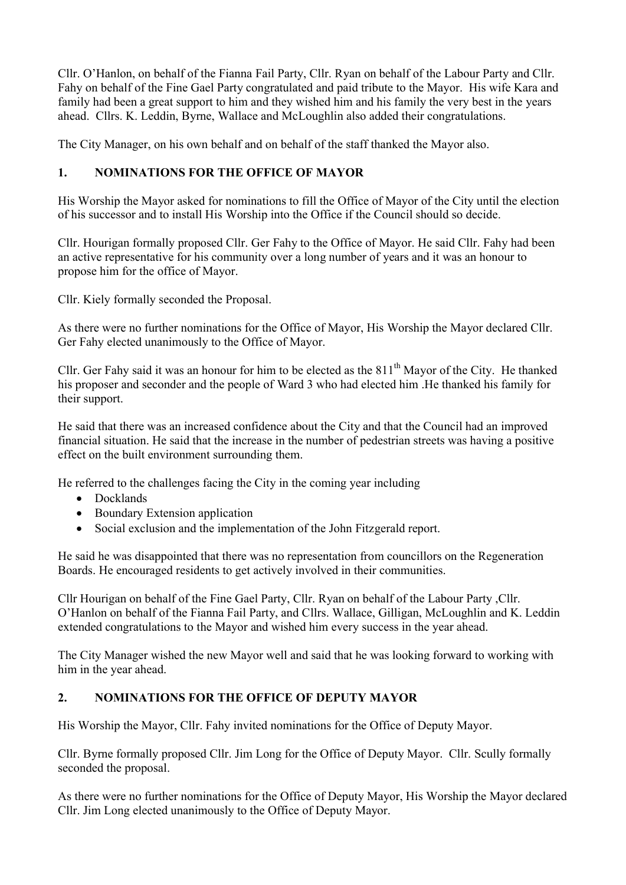Cllr. O'Hanlon, on behalf of the Fianna Fail Party, Cllr. Ryan on behalf of the Labour Party and Cllr. Fahy on behalf of the Fine Gael Party congratulated and paid tribute to the Mayor. His wife Kara and family had been a great support to him and they wished him and his family the very best in the years ahead. Cllrs. K. Leddin, Byrne, Wallace and McLoughlin also added their congratulations.

The City Manager, on his own behalf and on behalf of the staff thanked the Mayor also.

## **1. NOMINATIONS FOR THE OFFICE OF MAYOR**

His Worship the Mayor asked for nominations to fill the Office of Mayor of the City until the election of his successor and to install His Worship into the Office if the Council should so decide.

Cllr. Hourigan formally proposed Cllr. Ger Fahy to the Office of Mayor. He said Cllr. Fahy had been an active representative for his community over a long number of years and it was an honour to propose him for the office of Mayor.

Cllr. Kiely formally seconded the Proposal.

As there were no further nominations for the Office of Mayor, His Worship the Mayor declared Cllr. Ger Fahy elected unanimously to the Office of Mayor.

Cllr. Ger Fahy said it was an honour for him to be elected as the  $811<sup>th</sup>$  Mayor of the City. He thanked his proposer and seconder and the people of Ward 3 who had elected him .He thanked his family for their support.

He said that there was an increased confidence about the City and that the Council had an improved financial situation. He said that the increase in the number of pedestrian streets was having a positive effect on the built environment surrounding them.

He referred to the challenges facing the City in the coming year including

- Docklands
- Boundary Extension application
- Social exclusion and the implementation of the John Fitzgerald report.

He said he was disappointed that there was no representation from councillors on the Regeneration Boards. He encouraged residents to get actively involved in their communities.

Cllr Hourigan on behalf of the Fine Gael Party, Cllr. Ryan on behalf of the Labour Party ,Cllr. O'Hanlon on behalf of the Fianna Fail Party, and Cllrs. Wallace, Gilligan, McLoughlin and K. Leddin extended congratulations to the Mayor and wished him every success in the year ahead.

The City Manager wished the new Mayor well and said that he was looking forward to working with him in the year ahead.

## **2. NOMINATIONS FOR THE OFFICE OF DEPUTY MAYOR**

His Worship the Mayor, Cllr. Fahy invited nominations for the Office of Deputy Mayor.

Cllr. Byrne formally proposed Cllr. Jim Long for the Office of Deputy Mayor. Cllr. Scully formally seconded the proposal.

As there were no further nominations for the Office of Deputy Mayor, His Worship the Mayor declared Cllr. Jim Long elected unanimously to the Office of Deputy Mayor.